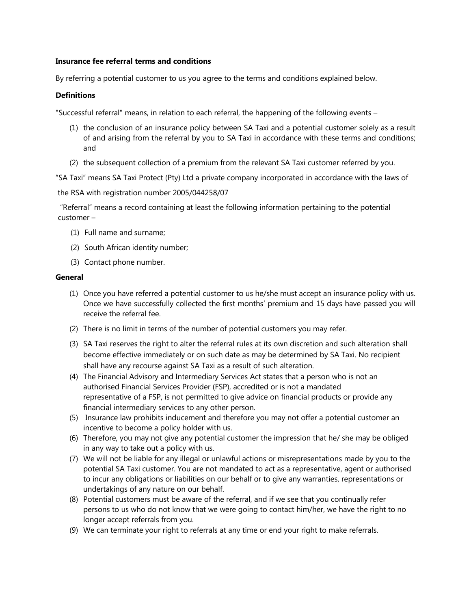## **Insurance fee referral terms and conditions**

By referring a potential customer to us you agree to the terms and conditions explained below.

## **Definitions**

"Successful referral" means, in relation to each referral, the happening of the following events –

- (1) the conclusion of an insurance policy between SA Taxi and a potential customer solely as a result of and arising from the referral by you to SA Taxi in accordance with these terms and conditions; and
- (2) the subsequent collection of a premium from the relevant SA Taxi customer referred by you.

"SA Taxi" means SA Taxi Protect (Pty) Ltd a private company incorporated in accordance with the laws of

the RSA with registration number 2005/044258/07

"Referral" means a record containing at least the following information pertaining to the potential customer –

- (1) Full name and surname;
- (2) South African identity number;
- (3) Contact phone number.

## **General**

- (1) Once you have referred a potential customer to us he/she must accept an insurance policy with us. Once we have successfully collected the first months' premium and 15 days have passed you will receive the referral fee.
- (2) There is no limit in terms of the number of potential customers you may refer.
- (3) SA Taxi reserves the right to alter the referral rules at its own discretion and such alteration shall become effective immediately or on such date as may be determined by SA Taxi. No recipient shall have any recourse against SA Taxi as a result of such alteration.
- (4) The Financial Advisory and Intermediary Services Act states that a person who is not an authorised Financial Services Provider (FSP), accredited or is not a mandated representative of a FSP, is not permitted to give advice on financial products or provide any financial intermediary services to any other person.
- (5) Insurance law prohibits inducement and therefore you may not offer a potential customer an incentive to become a policy holder with us.
- (6) Therefore, you may not give any potential customer the impression that he/ she may be obliged in any way to take out a policy with us.
- (7) We will not be liable for any illegal or unlawful actions or misrepresentations made by you to the potential SA Taxi customer. You are not mandated to act as a representative, agent or authorised to incur any obligations or liabilities on our behalf or to give any warranties, representations or undertakings of any nature on our behalf.
- (8) Potential customers must be aware of the referral, and if we see that you continually refer persons to us who do not know that we were going to contact him/her, we have the right to no longer accept referrals from you.
- (9) We can terminate your right to referrals at any time or end your right to make referrals.